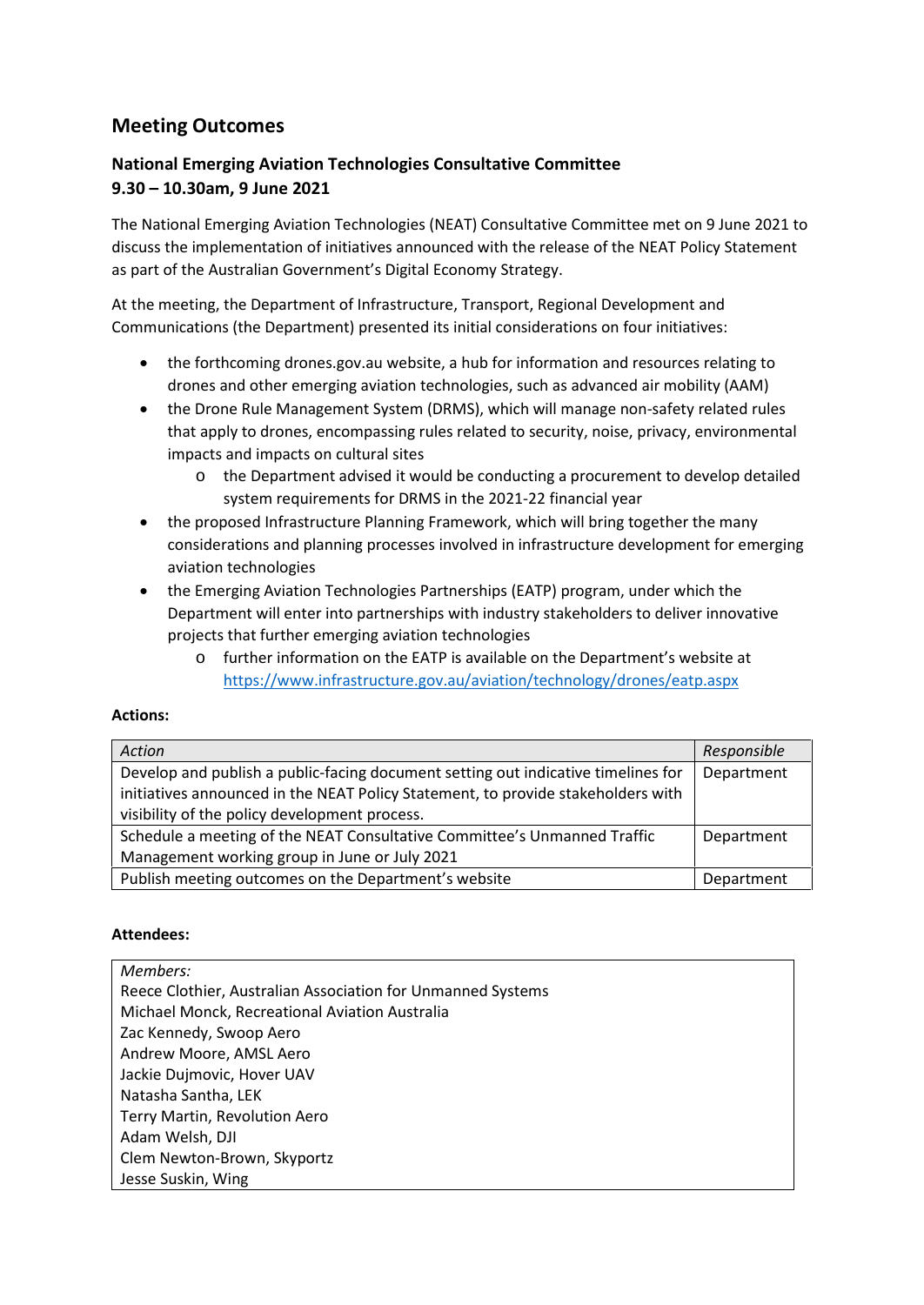## **Meeting Outcomes**

## **National Emerging Aviation Technologies Consultative Committee 9.30 – 10.30am, 9 June 2021**

The National Emerging Aviation Technologies (NEAT) Consultative Committee met on 9 June 2021 to discuss the implementation of initiatives announced with the release of the NEAT Policy Statement as part of the Australian Government's Digital Economy Strategy.

At the meeting, the Department of Infrastructure, Transport, Regional Development and Communications (the Department) presented its initial considerations on four initiatives:

- the forthcoming drones.gov.au website, a hub for information and resources relating to drones and other emerging aviation technologies, such as advanced air mobility (AAM)
- the Drone Rule Management System (DRMS), which will manage non-safety related rules that apply to drones, encompassing rules related to security, noise, privacy, environmental impacts and impacts on cultural sites
	- o the Department advised it would be conducting a procurement to develop detailed system requirements for DRMS in the 2021-22 financial year
- the proposed Infrastructure Planning Framework, which will bring together the many considerations and planning processes involved in infrastructure development for emerging aviation technologies
- the Emerging Aviation Technologies Partnerships (EATP) program, under which the Department will enter into partnerships with industry stakeholders to deliver innovative projects that further emerging aviation technologies
	- o further information on the EATP is available on the Department's website at <https://www.infrastructure.gov.au/aviation/technology/drones/eatp.aspx>

## **Actions:**

| Action                                                                            | Responsible |
|-----------------------------------------------------------------------------------|-------------|
| Develop and publish a public-facing document setting out indicative timelines for | Department  |
| initiatives announced in the NEAT Policy Statement, to provide stakeholders with  |             |
| visibility of the policy development process.                                     |             |
| Schedule a meeting of the NEAT Consultative Committee's Unmanned Traffic          | Department  |
| Management working group in June or July 2021                                     |             |
| Publish meeting outcomes on the Department's website                              | Department  |

## **Attendees:**

| Members:                                                    |
|-------------------------------------------------------------|
| Reece Clothier, Australian Association for Unmanned Systems |
| Michael Monck, Recreational Aviation Australia              |
| Zac Kennedy, Swoop Aero                                     |
| Andrew Moore, AMSL Aero                                     |
| Jackie Dujmovic, Hover UAV                                  |
| Natasha Santha, LEK                                         |
| Terry Martin, Revolution Aero                               |
| Adam Welsh, DJI                                             |
| Clem Newton-Brown, Skyportz                                 |
| Jesse Suskin, Wing                                          |